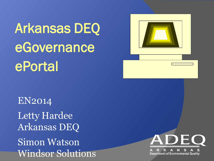Arkansas DEQ eGovernance ePortal

EN2014 Letty Hardee Arkansas DEQ Simon Watson Windsor Solutions



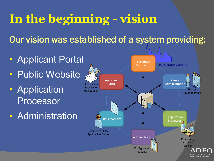### **In the beginning - vision**

Our vision was established of a system providing: Time

- Applicant Portal
- Public Website
- Application Processor
- Administration

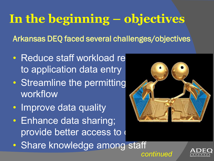### **In the beginning – objectives**

Arkansas DEQ faced several challenges/objectives

- Reduce staff workload re to application data entry
- Streamline the permitting workflow
- Improve data quality
- Enhance data sharing; provide better access to
- Share knowledge among staff



*continued*

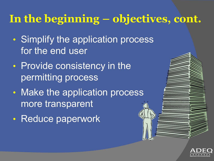#### **In the beginning – objectives, cont.**

- Simplify the application process for the end user
- Provide consistency in the permitting process
- Make the application process more transparent
- Reduce paperwork



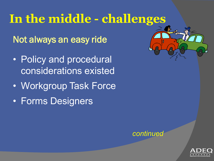### **In the middle - challenges**

Not always an easy ride

- Policy and procedural considerations existed
- Workgroup Task Force
- Forms Designers





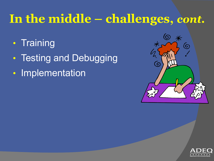### **In the middle – challenges,** *cont.*

- Training
- Testing and Debugging
- Implementation



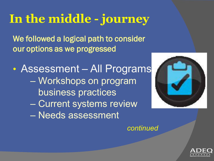## **In the middle - journey**

We followed a logical path to consider our options as we progressed

• Assessment – All Programs – Workshops on program business practices – Current systems review – Needs assessment



*continued*

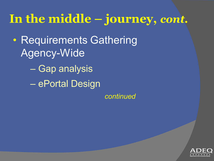### **In the middle – journey,** *cont.*

• Requirements Gathering Agency-Wide – Gap analysis

– ePortal Design

*continued*

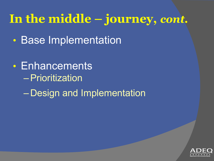## **In the middle – journey,** *cont.*

- Base Implementation
- Enhancements –Prioritization – Design and Implementation

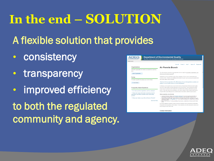# **In the end – SOLUTION**

A flexible solution that provides

- consistency
- transparency
- improved efficiency to both the regulated community and agency.

| <b>Department of Environmental Quality</b><br>We protect, enhance and restore the natural environment for the well-being of all Arkansans. |                                                                                                                                                                                                                                                                                                                                                                                                                                                                                                   |
|--------------------------------------------------------------------------------------------------------------------------------------------|---------------------------------------------------------------------------------------------------------------------------------------------------------------------------------------------------------------------------------------------------------------------------------------------------------------------------------------------------------------------------------------------------------------------------------------------------------------------------------------------------|
| <b>EQ Home</b>                                                                                                                             |                                                                                                                                                                                                                                                                                                                                                                                                                                                                                                   |
|                                                                                                                                            | Home &<br>Help ?<br>Finder P<br>Sign In A                                                                                                                                                                                                                                                                                                                                                                                                                                                         |
| <b>Organizations</b>                                                                                                                       | <b>Air Permits Branch</b>                                                                                                                                                                                                                                                                                                                                                                                                                                                                         |
| Select the organization from which you would like to submit a                                                                              |                                                                                                                                                                                                                                                                                                                                                                                                                                                                                                   |
| form.<br><b>Select Organization</b>                                                                                                        | This site includes instructions and application forms to apply for air permits, registrations, a<br>other air permit related requests.                                                                                                                                                                                                                                                                                                                                                            |
| <b>Forms</b>                                                                                                                               | Applications may be submitted on-line (when available) or forms may be downloaded and<br>mailed to ADEQ. All forms and additional information for each may be accessed using the f                                                                                                                                                                                                                                                                                                                |
| To locate a specific form please use our form finder.                                                                                      | links at the bottom of this webpage.                                                                                                                                                                                                                                                                                                                                                                                                                                                              |
| $\rho$ Form Finder                                                                                                                         | Click here to find an explanation of the different types of air permits/registrations available a<br>whether or not your facility requires an air permit/registration                                                                                                                                                                                                                                                                                                                             |
| <b>Frequently Asked Questions</b>                                                                                                          | In Arkansas, all air permits are issued by the Arkansas Department of Environmental Quality<br>No local or other entities have the authority to issue an air permit. Some permits that ADEQ<br>issues may be reviewed by the Federal EPA, but ADEQ still maintains authority to issue the                                                                                                                                                                                                         |
| ? Do I need a permit or registration, and if so, what type?                                                                                | permit. There still may be local ordinances, fire codes, zoning or other requirements that an<br>not part of the air permitting process and the facility must address with the proper agency.                                                                                                                                                                                                                                                                                                     |
| ? Where can I access information concerning air permit<br>applications submitted by facilities and/or current active                       | Other air permits, not on this site:                                                                                                                                                                                                                                                                                                                                                                                                                                                              |
| permits?<br>? Where can I obtain a copy of the Air Division's Permits?<br>view more FAOs                                                   | . Asbestos Permits: Refer to the Asbestos webpage for issues regarding demolition or<br>renvoyation of faciltities that may contain as bestos or other as bestos related issues.<br>. Opening Burning Permits: Open burning is prohibited except for the exemptions on ope<br>burning in Chapter 6 of Regulation 18. For an open burning permit, contact the Air Divis<br>at 501-682-0730<br>. Race Track Permits: For the permitting of race tracks, contact the Air Division at 501-68.<br>0730 |
|                                                                                                                                            | If you have additional questions, please see if your question can be answered by reading th<br>Frequently Asked Questions in the sidebar. If your questions are still unanswered, please o<br>the Air Division of 501-682-0738                                                                                                                                                                                                                                                                    |

Contact Information

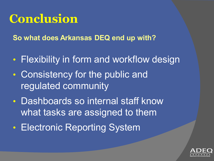#### **Conclusion**

**So what does Arkansas DEQ end up with?**

- Flexibility in form and workflow design
- Consistency for the public and regulated community
- Dashboards so internal staff know what tasks are assigned to them
- Electronic Reporting System

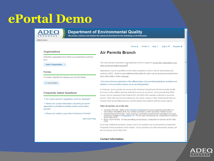#### **ePortal Demo**



#### **Department of Environmental Quality**

We protect, enhance and restore the natural environment for the well-being of all Arkansans.

**Air Permits Branch** 

ADEQ Home

#### Home \* Finder P Help ?

Sign In  $\blacktriangleright$ Register **o** 

#### **Organizations**

Select the organization from which you would like to submit a form.

**Select Organization** 

#### **Forms**

To locate a specific form please use our form finder.

P Form Finder

#### **Frequently Asked Questions**

? Do I need a permit or registration, and if so, what type?

? Where can I access information concerning air permit applications submitted by facilities and/or current active permits?

? Where can I obtain a copy of the Air Division's Permits?

view more FAQs

This site includes instructions and application forms to apply for air permits, registrations, and other air permit related requests

Applications may be submitted on-line (when available) or forms may be downloaded and mailed to ADEQ. All forms and additional information for each may be accessed using the form links at the bottom of this webpage.

Click here to find an explanation of the different types of air permits/registrations available and whether or not your facility requires an air permit/registration

In Arkansas, all air permits are issued by the Arkansas Department of Environmental Quality. No local or other entities have the authority to issue an air permit. Some permits that ADEQ issues may be reviewed by the Federal EPA, but ADEQ still maintains authority to issue the permit. There still may be local ordinances, fire codes, zoning or other requirements that are not part of the air permitting process and the facility must address with the proper agency.

#### Other air permits, not on this site:

- Asbestos Permits: Refer to the Asbestos webpage for issues regarding demolition or renvovation of facilities that may contain asbestos or other asbestos related issues.
- Opening Burning Permits: Open burning is prohibited except for the exemptions on open burning in Chapter 6 of Regulation 18. For an open burning permit, contact the Air Division at 501-682-0730
- . Race Track Permits: For the permitting of race tracks, contact the Air Division at 501-682-0730

If you have additional questions, please see if your question can be answered by reading the Frequently Asked Questions in the sidebar. If your questions are still unanswered, please call the Air Division at 501-682-0738.

#### **Contact Information**